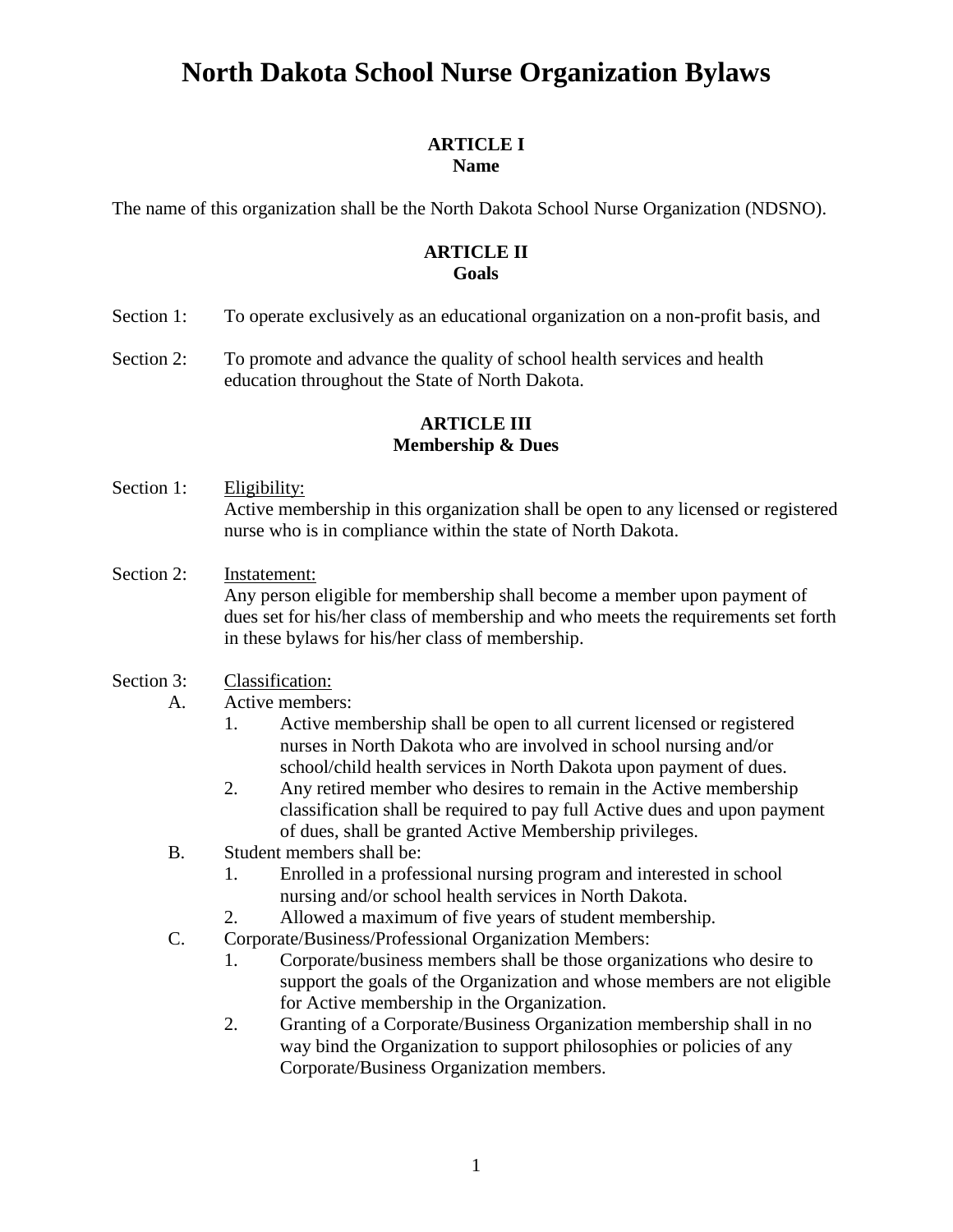#### **ARTICLE I Name**

The name of this organization shall be the North Dakota School Nurse Organization (NDSNO).

## **ARTICLE II Goals**

- Section 1: To operate exclusively as an educational organization on a non-profit basis, and
- Section 2: To promote and advance the quality of school health services and health education throughout the State of North Dakota.

## **ARTICLE III Membership & Dues**

- Section 1: Eligibility: Active membership in this organization shall be open to any licensed or registered nurse who is in compliance within the state of North Dakota.
- Section 2: Instatement: Any person eligible for membership shall become a member upon payment of dues set for his/her class of membership and who meets the requirements set forth in these bylaws for his/her class of membership.

#### Section 3: Classification:

- A. Active members:
	- 1. Active membership shall be open to all current licensed or registered nurses in North Dakota who are involved in school nursing and/or school/child health services in North Dakota upon payment of dues.
	- 2. Any retired member who desires to remain in the Active membership classification shall be required to pay full Active dues and upon payment of dues, shall be granted Active Membership privileges.
- B. Student members shall be:
	- 1. Enrolled in a professional nursing program and interested in school nursing and/or school health services in North Dakota.
	- 2. Allowed a maximum of five years of student membership.
- C. Corporate/Business/Professional Organization Members:
	- 1. Corporate/business members shall be those organizations who desire to support the goals of the Organization and whose members are not eligible for Active membership in the Organization.
	- 2. Granting of a Corporate/Business Organization membership shall in no way bind the Organization to support philosophies or policies of any Corporate/Business Organization members.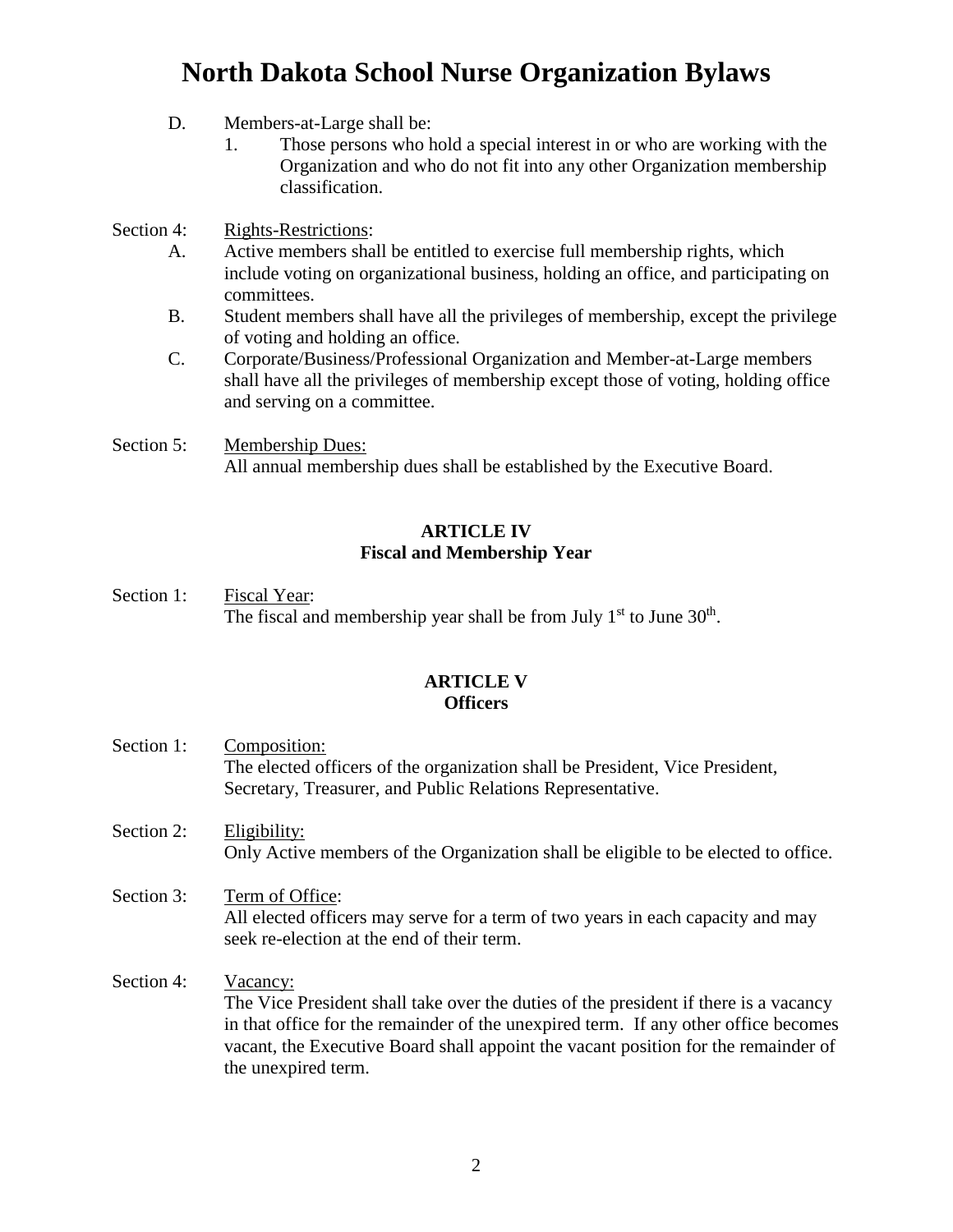- D. Members-at-Large shall be:
	- 1. Those persons who hold a special interest in or who are working with the Organization and who do not fit into any other Organization membership classification.

Section 4: Rights-Restrictions:

- A. Active members shall be entitled to exercise full membership rights, which include voting on organizational business, holding an office, and participating on committees.
- B. Student members shall have all the privileges of membership, except the privilege of voting and holding an office.
- C. Corporate/Business/Professional Organization and Member-at-Large members shall have all the privileges of membership except those of voting, holding office and serving on a committee.
- Section 5: Membership Dues: All annual membership dues shall be established by the Executive Board.

#### **ARTICLE IV Fiscal and Membership Year**

Section 1: Fiscal Year: The fiscal and membership year shall be from July  $1<sup>st</sup>$  to June  $30<sup>th</sup>$ .

### **ARTICLE V Officers**

- Section 1: Composition: The elected officers of the organization shall be President, Vice President, Secretary, Treasurer, and Public Relations Representative.
- Section 2: Eligibility: Only Active members of the Organization shall be eligible to be elected to office.
- Section 3: Term of Office: All elected officers may serve for a term of two years in each capacity and may seek re-election at the end of their term.
- Section 4: Vacancy: The Vice President shall take over the duties of the president if there is a vacancy in that office for the remainder of the unexpired term. If any other office becomes vacant, the Executive Board shall appoint the vacant position for the remainder of the unexpired term.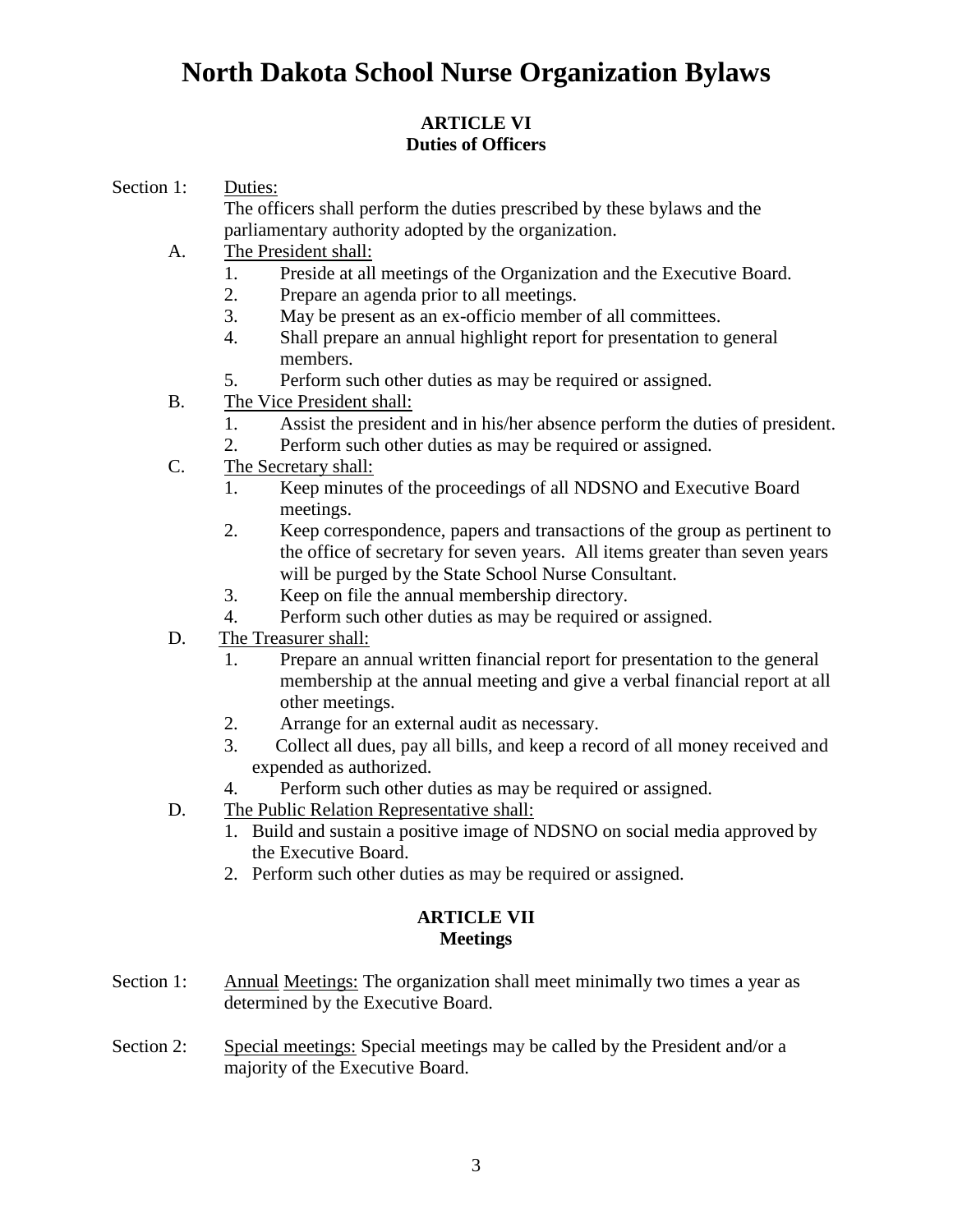### **ARTICLE VI Duties of Officers**

Section 1: Duties:

The officers shall perform the duties prescribed by these bylaws and the parliamentary authority adopted by the organization.

- A. The President shall:
	- 1. Preside at all meetings of the Organization and the Executive Board.
	- 2. Prepare an agenda prior to all meetings.
	- 3. May be present as an ex-officio member of all committees.
	- 4. Shall prepare an annual highlight report for presentation to general members.
	- 5. Perform such other duties as may be required or assigned.
- B. The Vice President shall:
	- 1. Assist the president and in his/her absence perform the duties of president.
	- 2. Perform such other duties as may be required or assigned.
- C. The Secretary shall:
	- 1. Keep minutes of the proceedings of all NDSNO and Executive Board meetings.
	- 2. Keep correspondence, papers and transactions of the group as pertinent to the office of secretary for seven years. All items greater than seven years will be purged by the State School Nurse Consultant.
	- 3. Keep on file the annual membership directory.
	- 4. Perform such other duties as may be required or assigned.
- D. The Treasurer shall:
	- 1. Prepare an annual written financial report for presentation to the general membership at the annual meeting and give a verbal financial report at all other meetings.
	- 2. Arrange for an external audit as necessary.
	- 3. Collect all dues, pay all bills, and keep a record of all money received and expended as authorized.
	- 4. Perform such other duties as may be required or assigned.
- D. The Public Relation Representative shall:
	- 1. Build and sustain a positive image of NDSNO on social media approved by the Executive Board.
	- 2. Perform such other duties as may be required or assigned.

#### **ARTICLE VII Meetings**

- Section 1: Annual Meetings: The organization shall meet minimally two times a year as determined by the Executive Board.
- Section 2: Special meetings: Special meetings may be called by the President and/or a majority of the Executive Board.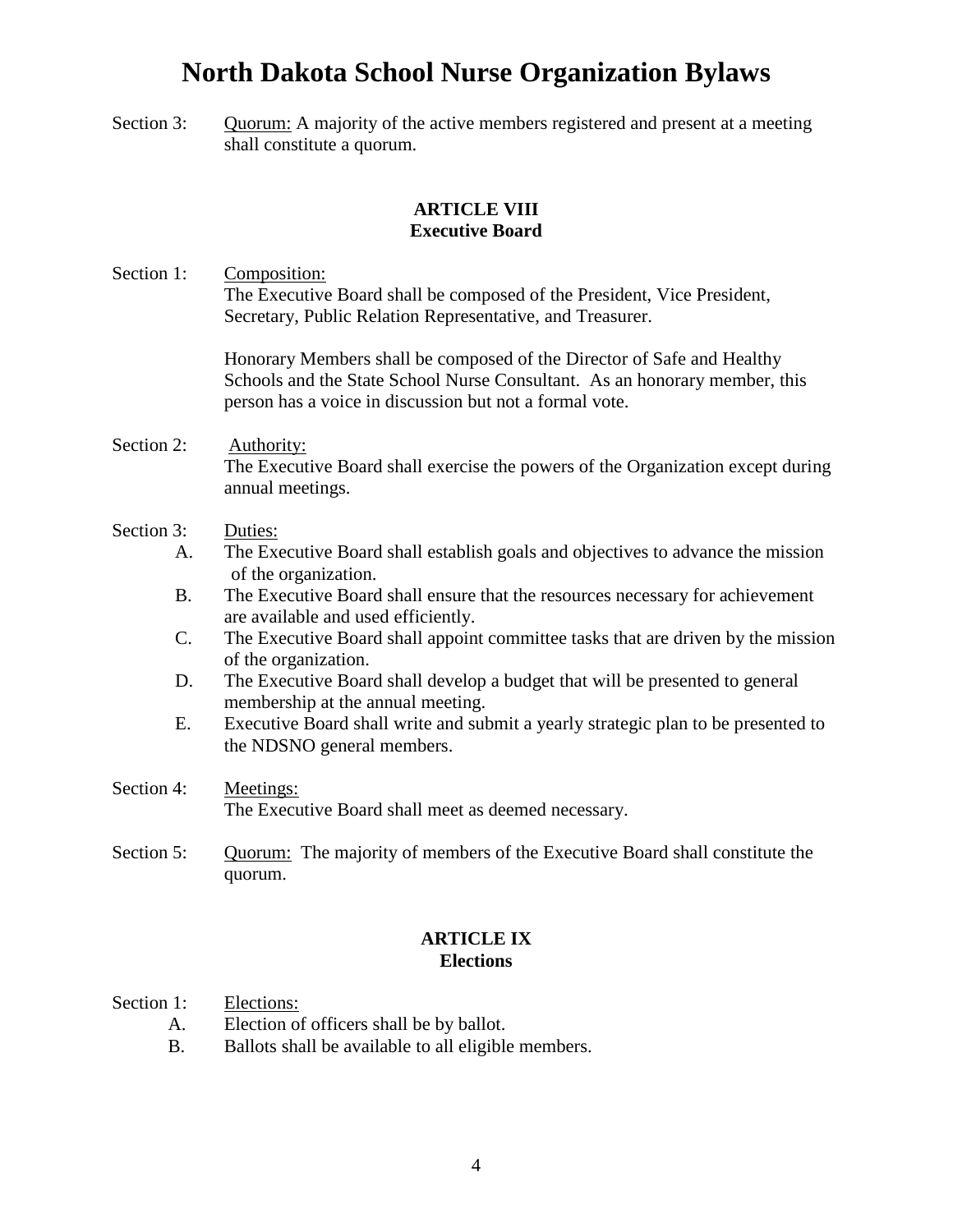Section 3: Quorum: A majority of the active members registered and present at a meeting shall constitute a quorum.

### **ARTICLE VIII Executive Board**

Section 1: Composition: The Executive Board shall be composed of the President, Vice President, Secretary, Public Relation Representative, and Treasurer.

> Honorary Members shall be composed of the Director of Safe and Healthy Schools and the State School Nurse Consultant. As an honorary member, this person has a voice in discussion but not a formal vote.

- Section 2: Authority: The Executive Board shall exercise the powers of the Organization except during annual meetings.
- Section 3: Duties:
	- A. The Executive Board shall establish goals and objectives to advance the mission of the organization.
	- B. The Executive Board shall ensure that the resources necessary for achievement are available and used efficiently.
	- C. The Executive Board shall appoint committee tasks that are driven by the mission of the organization.
	- D. The Executive Board shall develop a budget that will be presented to general membership at the annual meeting.
	- E. Executive Board shall write and submit a yearly strategic plan to be presented to the NDSNO general members.
- Section 4: Meetings: The Executive Board shall meet as deemed necessary.
- Section 5: Quorum: The majority of members of the Executive Board shall constitute the quorum.

### **ARTICLE IX Elections**

- Section 1: Elections:
	- A. Election of officers shall be by ballot.
	- B. Ballots shall be available to all eligible members.